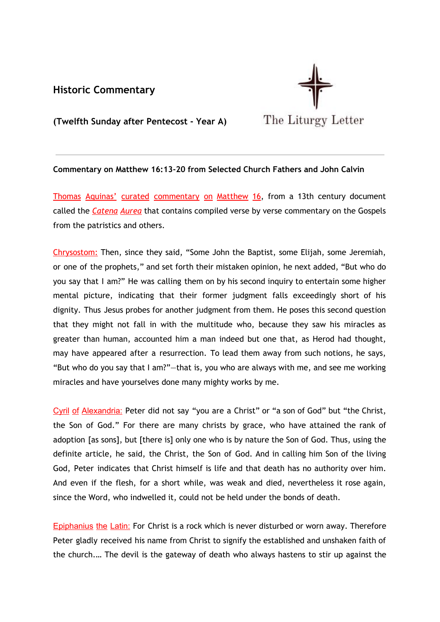**Historic Commentary**



**(Twelfth Sunday after Pentecost - Year A)**

# **Commentary on Matthew 16:13-20 from Selected Church Fathers and John Calvin**

Thomas Aquinas' curated [commentary](http://dhspriory.org/thomas/CAMatthew.htm#16) on Matthew 16, from a 13th century document called the *[Catena](https://en.wikipedia.org/wiki/Catena_(biblical_commentary)) Aure[a](https://en.wikipedia.org/wiki/Catena_(biblical_commentary))* that contains compiled verse by verse commentary on the Gospels from the patristics and others.

[Chrysostom:](https://en.wikipedia.org/wiki/John_Chrysostom) Then, since they said, "Some John the Baptist, some Elijah, some Jeremiah, or one of the prophets," and set forth their mistaken opinion, he next added, "But who do you say that I am?" He was calling them on by his second inquiry to entertain some higher mental picture, indicating that their former judgment falls exceedingly short of his dignity. Thus Jesus probes for another judgment from them. He poses this second question that they might not fall in with the multitude who, because they saw his miracles as greater than human, accounted him a man indeed but one that, as Herod had thought, may have appeared after a resurrection. To lead them away from such notions, he says, "But who do you say that I am?"—that is, you who are always with me, and see me working miracles and have yourselves done many mighty works by me.

Cyril of [Alexandria:](https://en.wikipedia.org/wiki/Cyril_of_Alexandria) Peter did not say "you are a Christ" or "a son of God" but "the Christ, the Son of God." For there are many christs by grace, who have attained the rank of adoption [as sons], but [there is] only one who is by nature the Son of God. Thus, using the definite article, he said, the Christ, the Son of God. And in calling him Son of the living God, Peter indicates that Christ himself is life and that death has no authority over him. And even if the flesh, for a short while, was weak and died, nevertheless it rose again, since the Word, who indwelled it, could not be held under the bonds of death.

[Epiphanius](https://en.wikipedia.org/wiki/Epiphanius_of_Salamis) the Latin: For Christ is a rock which is never disturbed or worn away. Therefore Peter gladly received his name from Christ to signify the established and unshaken faith of the church.… The devil is the gateway of death who always hastens to stir up against the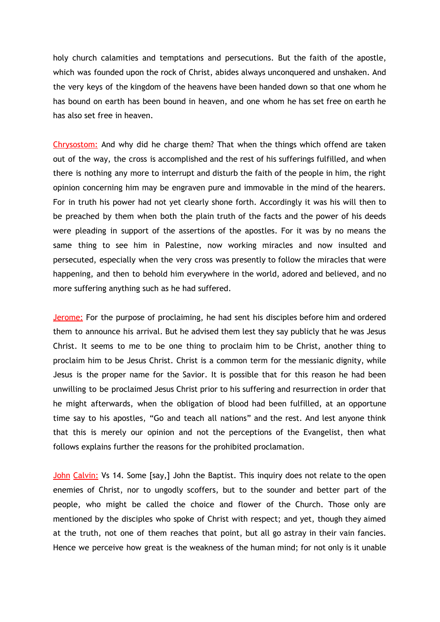holy church calamities and temptations and persecutions. But the faith of the apostle, which was founded upon the rock of Christ, abides always unconquered and unshaken. And the very keys of the kingdom of the heavens have been handed down so that one whom he has bound on earth has been bound in heaven, and one whom he has set free on earth he has also set free in heaven.

[Chrysostom:](https://en.wikipedia.org/wiki/John_Chrysostom) And why did he charge them? That when the things which offend are taken out of the way, the cross is accomplished and the rest of his sufferings fulfilled, and when there is nothing any more to interrupt and disturb the faith of the people in him, the right opinion concerning him may be engraven pure and immovable in the mind of the hearers. For in truth his power had not yet clearly shone forth. Accordingly it was his will then to be preached by them when both the plain truth of the facts and the power of his deeds were pleading in support of the assertions of the apostles. For it was by no means the same thing to see him in Palestine, now working miracles and now insulted and persecuted, especially when the very cross was presently to follow the miracles that were happening, and then to behold him everywhere in the world, adored and believed, and no more suffering anything such as he had suffered.

**[Jerome:](https://en.wikipedia.org/wiki/Jerome)** For the purpose of proclaiming, he had sent his disciples before him and ordered them to announce his arrival. But he advised them lest they say publicly that he was Jesus Christ. It seems to me to be one thing to proclaim him to be Christ, another thing to proclaim him to be Jesus Christ. Christ is a common term for the messianic dignity, while Jesus is the proper name for the Savior. It is possible that for this reason he had been unwilling to be proclaimed Jesus Christ prior to his suffering and resurrection in order that he might afterwards, when the obligation of blood had been fulfilled, at an opportune time say to his apostles, "Go and teach all nations" and the rest. And lest anyone think that this is merely our opinion and not the perceptions of the Evangelist, then what follows explains further the reasons for the prohibited proclamation.

John [Calvin:](http://www.christianitytoday.com/history/people/theologians/john-calvin.html) Vs 14. Some [say,] John the Baptist. This inquiry does not relate to the open enemies of Christ, nor to ungodly scoffers, but to the sounder and better part of the people, who might be called the choice and flower of the Church. Those only are mentioned by the disciples who spoke of Christ with respect; and yet, though they aimed at the truth, not one of them reaches that point, but all go astray in their vain fancies. Hence we perceive how great is the weakness of the human mind; for not only is it unable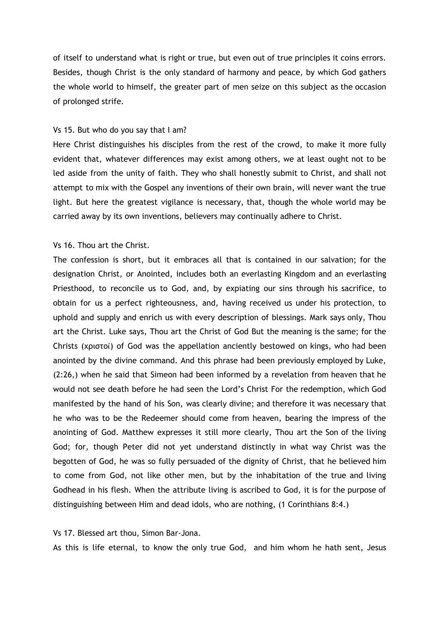of itself to understand what is right or true, but even out of true principles it coins errors. Besides, though Christ is the only standard of harmony and peace, by which God gathers the whole world to himself, the greater part of men seize on this subject as the occasion of prolonged strife.

#### Vs 15. But who do you say that I am?

Here Christ distinguishes his disciples from the rest of the crowd, to make it more fully evident that, whatever differences may exist among others, we at least ought not to be led aside from the unity of faith. They who shall honestly submit to Christ, and shall not attempt to mix with the Gospel any inventions of their own brain, will never want the true light. But here the greatest vigilance is necessary, that, though the whole world may be carried away by its own inventions, believers may continually adhere to Christ.

# Vs 16. Thou art the Christ.

The confession is short, but it embraces all that is contained in our salvation; for the designation Christ, or Anointed, includes both an everlasting Kingdom and an everlasting Priesthood, to reconcile us to God, and, by expiating our sins through his sacrifice, to obtain for us a perfect righteousness, and, having received us under his protection, to uphold and supply and enrich us with every description of blessings. Mark says only, Thou art the Christ. Luke says, Thou art the Christ of God But the meaning is the same; for the Christs (χριστοί) of God was the appellation anciently bestowed on kings, who had been anointed by the divine command. And this phrase had been previously employed by Luke, (2:26,) when he said that Simeon had been informed by a revelation from heaven that he would not see death before he had seen the Lord's Christ For the redemption, which God manifested by the hand of his Son, was clearly divine; and therefore it was necessary that he who was to be the Redeemer should come from heaven, bearing the impress of the anointing of God. Matthew expresses it still more clearly, Thou art the Son of the living God; for, though Peter did not yet understand distinctly in what way Christ was the begotten of God, he was so fully persuaded of the dignity of Christ, that he believed him to come from God, not like other men, but by the inhabitation of the true and living Godhead in his flesh. When the attribute living is ascribed to God, it is for the purpose of distinguishing between Him and dead idols, who are nothing, (1 Corinthians 8:4.)

### Vs 17. Blessed art thou, Simon Bar-Jona.

As this is life eternal, to know the only true God, and him whom he hath sent, Jesus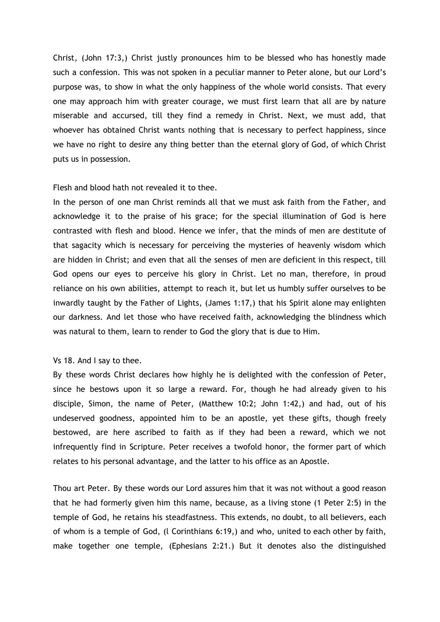Christ, (John 17:3,) Christ justly pronounces him to be blessed who has honestly made such a confession. This was not spoken in a peculiar manner to Peter alone, but our Lord's purpose was, to show in what the only happiness of the whole world consists. That every one may approach him with greater courage, we must first learn that all are by nature miserable and accursed, till they find a remedy in Christ. Next, we must add, that whoever has obtained Christ wants nothing that is necessary to perfect happiness, since we have no right to desire any thing better than the eternal glory of God, of which Christ puts us in possession.

## Flesh and blood hath not revealed it to thee.

In the person of one man Christ reminds all that we must ask faith from the Father, and acknowledge it to the praise of his grace; for the special illumination of God is here contrasted with flesh and blood. Hence we infer, that the minds of men are destitute of that sagacity which is necessary for perceiving the mysteries of heavenly wisdom which are hidden in Christ; and even that all the senses of men are deficient in this respect, till God opens our eyes to perceive his glory in Christ. Let no man, therefore, in proud reliance on his own abilities, attempt to reach it, but let us humbly suffer ourselves to be inwardly taught by the Father of Lights, (James 1:17,) that his Spirit alone may enlighten our darkness. And let those who have received faith, acknowledging the blindness which was natural to them, learn to render to God the glory that is due to Him.

#### Vs 18. And I say to thee.

By these words Christ declares how highly he is delighted with the confession of Peter, since he bestows upon it so large a reward. For, though he had already given to his disciple, Simon, the name of Peter, (Matthew 10:2; John 1:42,) and had, out of his undeserved goodness, appointed him to be an apostle, yet these gifts, though freely bestowed, are here ascribed to faith as if they had been a reward, which we not infrequently find in Scripture. Peter receives a twofold honor, the former part of which relates to his personal advantage, and the latter to his office as an Apostle.

Thou art Peter. By these words our Lord assures him that it was not without a good reason that he had formerly given him this name, because, as a living stone (1 Peter 2:5) in the temple of God, he retains his steadfastness. This extends, no doubt, to all believers, each of whom is a temple of God, (l Corinthians 6:19,) and who, united to each other by faith, make together one temple, (Ephesians 2:21.) But it denotes also the distinguished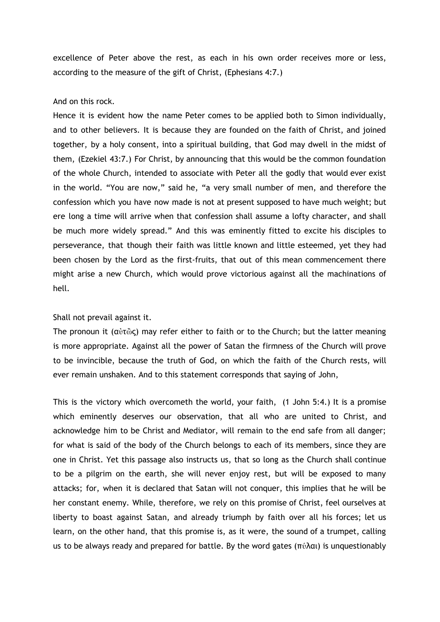excellence of Peter above the rest, as each in his own order receives more or less, according to the measure of the gift of Christ, (Ephesians 4:7.)

#### And on this rock.

Hence it is evident how the name Peter comes to be applied both to Simon individually, and to other believers. It is because they are founded on the faith of Christ, and joined together, by a holy consent, into a spiritual building, that God may dwell in the midst of them, (Ezekiel 43:7.) For Christ, by announcing that this would be the common foundation of the whole Church, intended to associate with Peter all the godly that would ever exist in the world. "You are now," said he, "a very small number of men, and therefore the confession which you have now made is not at present supposed to have much weight; but ere long a time will arrive when that confession shall assume a lofty character, and shall be much more widely spread." And this was eminently fitted to excite his disciples to perseverance, that though their faith was little known and little esteemed, yet they had been chosen by the Lord as the first-fruits, that out of this mean commencement there might arise a new Church, which would prove victorious against all the machinations of hell.

### Shall not prevail against it.

The pronoun it (αὐτὢς) may refer either to faith or to the Church; but the latter meaning is more appropriate. Against all the power of Satan the firmness of the Church will prove to be invincible, because the truth of God, on which the faith of the Church rests, will ever remain unshaken. And to this statement corresponds that saying of John,

This is the victory which overcometh the world, your faith, (1 John 5:4.) It is a promise which eminently deserves our observation, that all who are united to Christ, and acknowledge him to be Christ and Mediator, will remain to the end safe from all danger; for what is said of the body of the Church belongs to each of its members, since they are one in Christ. Yet this passage also instructs us, that so long as the Church shall continue to be a pilgrim on the earth, she will never enjoy rest, but will be exposed to many attacks; for, when it is declared that Satan will not conquer, this implies that he will be her constant enemy. While, therefore, we rely on this promise of Christ, feel ourselves at liberty to boast against Satan, and already triumph by faith over all his forces; let us learn, on the other hand, that this promise is, as it were, the sound of a trumpet, calling us to be always ready and prepared for battle. By the word gates (πύλαι) is unquestionably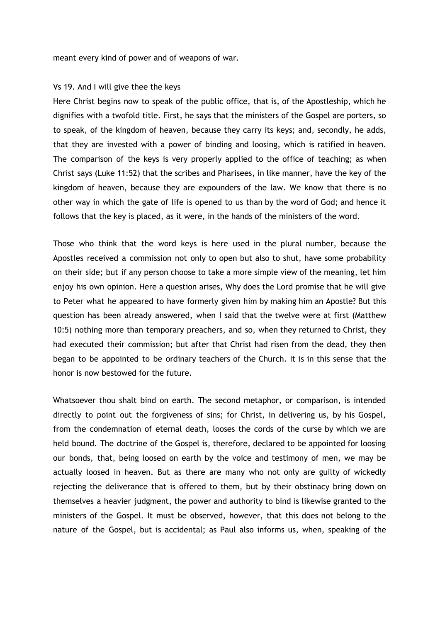meant every kind of power and of weapons of war.

### Vs 19. And I will give thee the keys

Here Christ begins now to speak of the public office, that is, of the Apostleship, which he dignifies with a twofold title. First, he says that the ministers of the Gospel are porters, so to speak, of the kingdom of heaven, because they carry its keys; and, secondly, he adds, that they are invested with a power of binding and loosing, which is ratified in heaven. The comparison of the keys is very properly applied to the office of teaching; as when Christ says (Luke 11:52) that the scribes and Pharisees, in like manner, have the key of the kingdom of heaven, because they are expounders of the law. We know that there is no other way in which the gate of life is opened to us than by the word of God; and hence it follows that the key is placed, as it were, in the hands of the ministers of the word.

Those who think that the word keys is here used in the plural number, because the Apostles received a commission not only to open but also to shut, have some probability on their side; but if any person choose to take a more simple view of the meaning, let him enjoy his own opinion. Here a question arises, Why does the Lord promise that he will give to Peter what he appeared to have formerly given him by making him an Apostle? But this question has been already answered, when I said that the twelve were at first (Matthew 10:5) nothing more than temporary preachers, and so, when they returned to Christ, they had executed their commission; but after that Christ had risen from the dead, they then began to be appointed to be ordinary teachers of the Church. It is in this sense that the honor is now bestowed for the future.

Whatsoever thou shalt bind on earth. The second metaphor, or comparison, is intended directly to point out the forgiveness of sins; for Christ, in delivering us, by his Gospel, from the condemnation of eternal death, looses the cords of the curse by which we are held bound. The doctrine of the Gospel is, therefore, declared to be appointed for loosing our bonds, that, being loosed on earth by the voice and testimony of men, we may be actually loosed in heaven. But as there are many who not only are guilty of wickedly rejecting the deliverance that is offered to them, but by their obstinacy bring down on themselves a heavier judgment, the power and authority to bind is likewise granted to the ministers of the Gospel. It must be observed, however, that this does not belong to the nature of the Gospel, but is accidental; as Paul also informs us, when, speaking of the